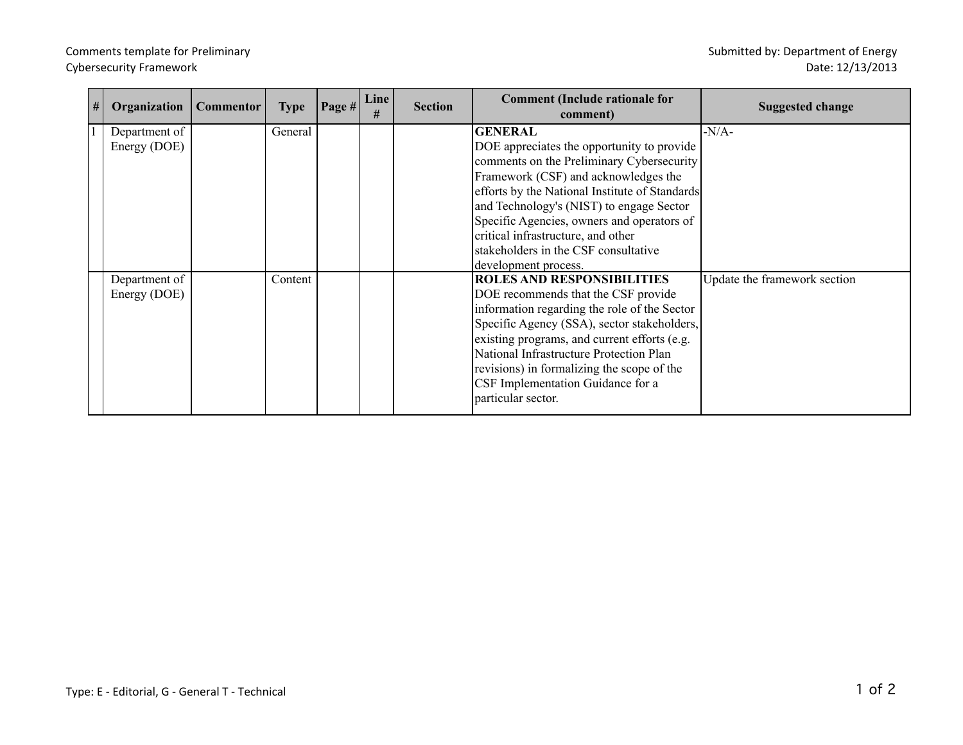## Comments template for Preliminary Submitted by: Department of Energy Cybersecurity Framework

| # | Organization  | <b>Commentor</b> | <b>Type</b> | Page # | Line<br># | <b>Section</b> | <b>Comment (Include rationale for</b><br>comment) | <b>Suggested change</b>      |
|---|---------------|------------------|-------------|--------|-----------|----------------|---------------------------------------------------|------------------------------|
|   | Department of |                  | General     |        |           |                | <b>GENERAL</b>                                    | $-N/A$ -                     |
|   | Energy (DOE)  |                  |             |        |           |                | DOE appreciates the opportunity to provide        |                              |
|   |               |                  |             |        |           |                | comments on the Preliminary Cybersecurity         |                              |
|   |               |                  |             |        |           |                | Framework (CSF) and acknowledges the              |                              |
|   |               |                  |             |        |           |                | efforts by the National Institute of Standards    |                              |
|   |               |                  |             |        |           |                | and Technology's (NIST) to engage Sector          |                              |
|   |               |                  |             |        |           |                | Specific Agencies, owners and operators of        |                              |
|   |               |                  |             |        |           |                | critical infrastructure, and other                |                              |
|   |               |                  |             |        |           |                | stakeholders in the CSF consultative              |                              |
|   |               |                  |             |        |           |                | development process.                              |                              |
|   | Department of |                  | Content     |        |           |                | <b>ROLES AND RESPONSIBILITIES</b>                 | Update the framework section |
|   | Energy (DOE)  |                  |             |        |           |                | DOE recommends that the CSF provide               |                              |
|   |               |                  |             |        |           |                | information regarding the role of the Sector      |                              |
|   |               |                  |             |        |           |                | Specific Agency (SSA), sector stakeholders,       |                              |
|   |               |                  |             |        |           |                | existing programs, and current efforts (e.g.      |                              |
|   |               |                  |             |        |           |                | National Infrastructure Protection Plan           |                              |
|   |               |                  |             |        |           |                | revisions) in formalizing the scope of the        |                              |
|   |               |                  |             |        |           |                | CSF Implementation Guidance for a                 |                              |
|   |               |                  |             |        |           |                | particular sector.                                |                              |